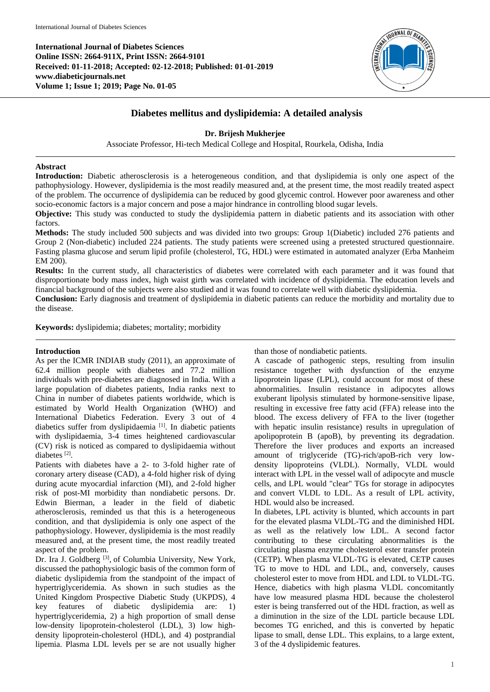**International Journal of Diabetes Sciences Online ISSN: 2664-911X, Print ISSN: 2664-9101 Received: 01-11-2018; Accepted: 02-12-2018; Published: 01-01-2019 www.diabeticjournals.net Volume 1; Issue 1; 2019; Page No. 01-05**



# **Diabetes mellitus and dyslipidemia: A detailed analysis**

# **Dr. Brijesh Mukherjee**

Associate Professor, Hi-tech Medical College and Hospital, Rourkela, Odisha, India

# **Abstract**

**Introduction:** Diabetic atherosclerosis is a heterogeneous condition, and that dyslipidemia is only one aspect of the pathophysiology. However, dyslipidemia is the most readily measured and, at the present time, the most readily treated aspect of the problem. The occurrence of dyslipidemia can be reduced by good glycemic control. However poor awareness and other socio-economic factors is a major concern and pose a major hindrance in controlling blood sugar levels.

**Objective:** This study was conducted to study the dyslipidemia pattern in diabetic patients and its association with other factors.

**Methods:** The study included 500 subjects and was divided into two groups: Group 1(Diabetic) included 276 patients and Group 2 (Non-diabetic) included 224 patients. The study patients were screened using a pretested structured questionnaire. Fasting plasma glucose and serum lipid profile (cholesterol, TG, HDL) were estimated in automated analyzer (Erba Manheim EM 200).

**Results:** In the current study, all characteristics of diabetes were correlated with each parameter and it was found that disproportionate body mass index, high waist girth was correlated with incidence of dyslipidemia. The education levels and financial background of the subjects were also studied and it was found to correlate well with diabetic dyslipidemia.

**Conclusion:** Early diagnosis and treatment of dyslipidemia in diabetic patients can reduce the morbidity and mortality due to the disease.

**Keywords:** dyslipidemia; diabetes; mortality; morbidity

# **Introduction**

As per the ICMR INDIAB study (2011), an approximate of 62.4 million people with diabetes and 77.2 million individuals with pre-diabetes are diagnosed in India. With a large population of diabetes patients, India ranks next to China in number of diabetes patients worldwide, which is estimated by World Health Organization (WHO) and International Diabetics Federation. Every 3 out of 4 diabetics suffer from dyslipidaemia [1]. In diabetic patients with dyslipidaemia, 3-4 times heightened cardiovascular (CV) risk is noticed as compared to dyslipidaemia without diabetes<sup>[2]</sup>.

Patients with diabetes have a 2- to 3-fold higher rate of coronary artery disease (CAD), a 4-fold higher risk of dying during acute myocardial infarction (MI), and 2-fold higher risk of post-MI morbidity than nondiabetic persons. Dr. Edwin Bierman, a leader in the field of diabetic atherosclerosis, reminded us that this is a heterogeneous condition, and that dyslipidemia is only one aspect of the pathophysiology. However, dyslipidemia is the most readily measured and, at the present time, the most readily treated aspect of the problem.

Dr. Ira J. Goldberg<sup>[3]</sup>, of Columbia University, New York, discussed the pathophysiologic basis of the common form of diabetic dyslipidemia from the standpoint of the impact of hypertriglyceridemia. As shown in such studies as the United Kingdom Prospective Diabetic Study (UKPDS), 4 key features of diabetic dyslipidemia are: 1) hypertriglyceridemia, 2) a high proportion of small dense low-density lipoprotein-cholesterol (LDL), 3) low highdensity lipoprotein-cholesterol (HDL), and 4) postprandial lipemia. Plasma LDL levels per se are not usually higher than those of nondiabetic patients.

A cascade of pathogenic steps, resulting from insulin resistance together with dysfunction of the enzyme lipoprotein lipase (LPL), could account for most of these abnormalities. Insulin resistance in adipocytes allows exuberant lipolysis stimulated by hormone-sensitive lipase, resulting in excessive free fatty acid (FFA) release into the blood. The excess delivery of FFA to the liver (together with hepatic insulin resistance) results in upregulation of apolipoprotein B (apoB), by preventing its degradation. Therefore the liver produces and exports an increased amount of triglyceride (TG)-rich/apoB-rich very lowdensity lipoproteins (VLDL). Normally, VLDL would interact with LPL in the vessel wall of adipocyte and muscle cells, and LPL would "clear" TGs for storage in adipocytes and convert VLDL to LDL. As a result of LPL activity, HDL would also be increased.

In diabetes, LPL activity is blunted, which accounts in part for the elevated plasma VLDL-TG and the diminished HDL as well as the relatively low LDL. A second factor contributing to these circulating abnormalities is the circulating plasma enzyme cholesterol ester transfer protein (CETP). When plasma VLDL-TG is elevated, CETP causes TG to move to HDL and LDL, and, conversely, causes cholesterol ester to move from HDL and LDL to VLDL-TG. Hence, diabetics with high plasma VLDL concomitantly have low measured plasma HDL because the cholesterol ester is being transferred out of the HDL fraction, as well as a diminution in the size of the LDL particle because LDL becomes TG enriched, and this is converted by hepatic lipase to small, dense LDL. This explains, to a large extent, 3 of the 4 dyslipidemic features.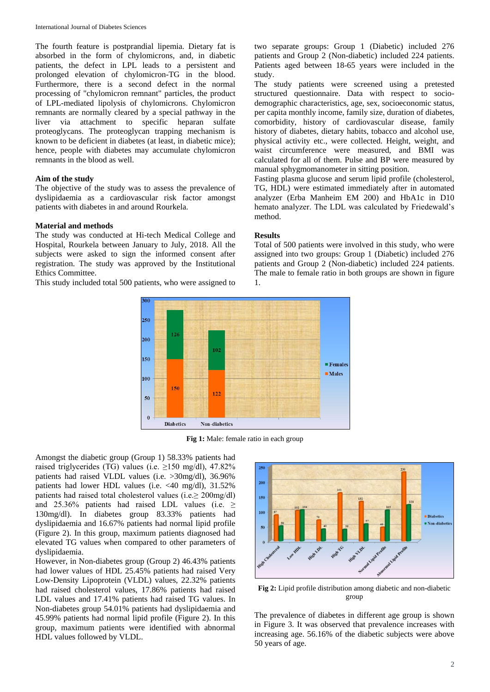The fourth feature is postprandial lipemia. Dietary fat is absorbed in the form of chylomicrons, and, in diabetic patients, the defect in LPL leads to a persistent and prolonged elevation of chylomicron-TG in the blood. Furthermore, there is a second defect in the normal processing of "chylomicron remnant" particles, the product of LPL-mediated lipolysis of chylomicrons. Chylomicron remnants are normally cleared by a special pathway in the liver via attachment to specific heparan sulfate proteoglycans. The proteoglycan trapping mechanism is known to be deficient in diabetes (at least, in diabetic mice); hence, people with diabetes may accumulate chylomicron remnants in the blood as well.

## **Aim of the study**

The objective of the study was to assess the prevalence of dyslipidaemia as a cardiovascular risk factor amongst patients with diabetes in and around Rourkela.

#### **Material and methods**

The study was conducted at Hi-tech Medical College and Hospital, Rourkela between January to July, 2018. All the subjects were asked to sign the informed consent after registration. The study was approved by the Institutional Ethics Committee.

This study included total 500 patients, who were assigned to

two separate groups: Group 1 (Diabetic) included 276 patients and Group 2 (Non-diabetic) included 224 patients. Patients aged between 18-65 years were included in the study.

The study patients were screened using a pretested structured questionnaire. Data with respect to sociodemographic characteristics, age, sex, socioeconomic status, per capita monthly income, family size, duration of diabetes, comorbidity, history of cardiovascular disease, family history of diabetes, dietary habits, tobacco and alcohol use, physical activity etc., were collected. Height, weight, and waist circumference were measured, and BMI was calculated for all of them. Pulse and BP were measured by manual sphygmomanometer in sitting position.

Fasting plasma glucose and serum lipid profile (cholesterol, TG, HDL) were estimated immediately after in automated analyzer (Erba Manheim EM 200) and HbA1c in D10 hemato analyzer. The LDL was calculated by Friedewald's method.

## **Results**

Total of 500 patients were involved in this study, who were assigned into two groups: Group 1 (Diabetic) included 276 patients and Group 2 (Non-diabetic) included 224 patients. The male to female ratio in both groups are shown in figure 1.



**Fig 1:** Male: female ratio in each group

Amongst the diabetic group (Group 1) 58.33% patients had raised triglycerides (TG) values (i.e.  $\geq$ 150 mg/dl), 47.82% patients had raised VLDL values (i.e. >30mg/dl), 36.96% patients had lower HDL values (i.e. <40 mg/dl), 31.52% patients had raised total cholesterol values (i.e.≥ 200mg/dl) and 25.36% patients had raised LDL values (i.e.  $\geq$ 130mg/dl). In diabetes group 83.33% patients had dyslipidaemia and 16.67% patients had normal lipid profile (Figure 2). In this group, maximum patients diagnosed had elevated TG values when compared to other parameters of dyslipidaemia.

However, in Non-diabetes group (Group 2) 46.43% patients had lower values of HDL 25.45% patients had raised Very Low-Density Lipoprotein (VLDL) values, 22.32% patients had raised cholesterol values, 17.86% patients had raised LDL values and 17.41% patients had raised TG values. In Non-diabetes group 54.01% patients had dyslipidaemia and 45.99% patients had normal lipid profile (Figure 2). In this group, maximum patients were identified with abnormal HDL values followed by VLDL.



**Fig 2:** Lipid profile distribution among diabetic and non-diabetic group

The prevalence of diabetes in different age group is shown in Figure 3. It was observed that prevalence increases with increasing age. 56.16% of the diabetic subjects were above 50 years of age.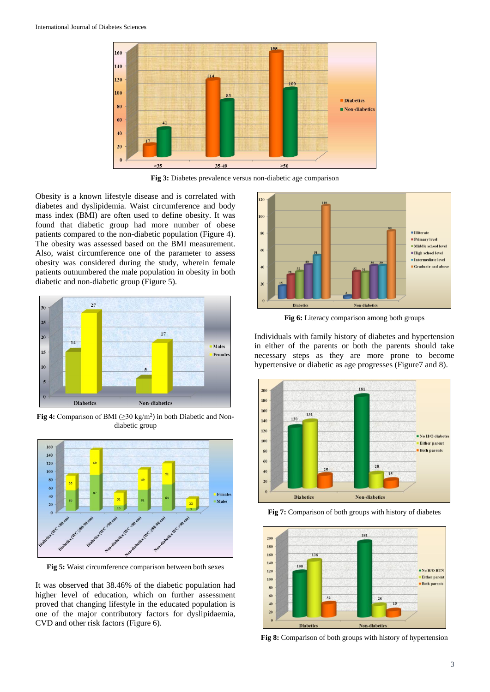

**Fig 3:** Diabetes prevalence versus non-diabetic age comparison

Obesity is a known lifestyle disease and is correlated with diabetes and dyslipidemia. Waist circumference and body mass index (BMI) are often used to define obesity. It was found that diabetic group had more number of obese patients compared to the non-diabetic population (Figure 4). The obesity was assessed based on the BMI measurement. Also, waist circumference one of the parameter to assess obesity was considered during the study, wherein female patients outnumbered the male population in obesity in both diabetic and non-diabetic group (Figure 5).



**Fig 4:** Comparison of BMI ( $\geq$ 30 kg/m<sup>2</sup>) in both Diabetic and Nondiabetic group



**Fig 5:** Waist circumference comparison between both sexes

It was observed that 38.46% of the diabetic population had higher level of education, which on further assessment proved that changing lifestyle in the educated population is one of the major contributory factors for dyslipidaemia, CVD and other risk factors (Figure 6).



**Fig 6:** Literacy comparison among both groups

Individuals with family history of diabetes and hypertension in either of the parents or both the parents should take necessary steps as they are more prone to become hypertensive or diabetic as age progresses (Figure7 and 8).



**Fig 7:** Comparison of both groups with history of diabetes



**Fig 8:** Comparison of both groups with history of hypertension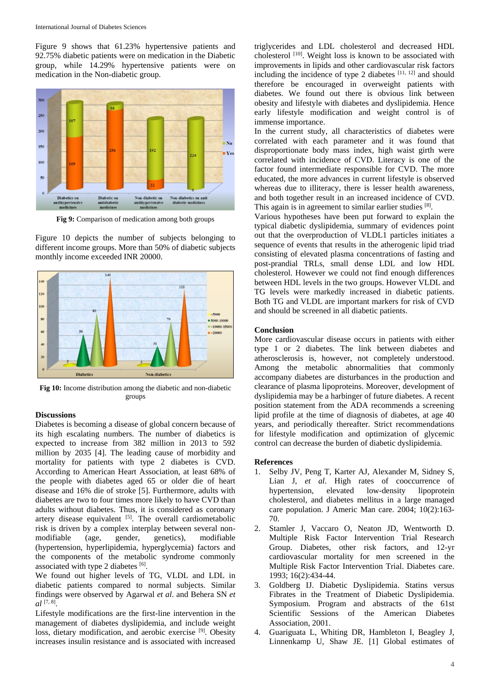Figure 9 shows that 61.23% hypertensive patients and 92.75% diabetic patients were on medication in the Diabetic group, while 14.29% hypertensive patients were on medication in the Non-diabetic group.



**Fig 9:** Comparison of medication among both groups

Figure 10 depicts the number of subjects belonging to different income groups. More than 50% of diabetic subjects monthly income exceeded INR 20000.



**Fig 10:** Income distribution among the diabetic and non-diabetic groups

## **Discussions**

Diabetes is becoming a disease of global concern because of its high escalating numbers. The number of diabetics is expected to increase from 382 million in 2013 to 592 million by 2035 [4]. The leading cause of morbidity and mortality for patients with type 2 diabetes is CVD. According to American Heart Association, at least 68% of the people with diabetes aged 65 or older die of heart disease and 16% die of stroke [5]. Furthermore, adults with diabetes are two to four times more likely to have CVD than adults without diabetes. Thus, it is considered as coronary artery disease equivalent  $[5]$ . The overall cardiometabolic risk is driven by a complex interplay between several nonmodifiable (age, gender, genetics), modifiable (hypertension, hyperlipidemia, hyperglycemia) factors and the components of the metabolic syndrome commonly associated with type 2 diabetes [6].

We found out higher levels of TG, VLDL and LDL in diabetic patients compared to normal subjects. Similar findings were observed by Agarwal *et al*. and Behera SN *et al* [7, 8] .

Lifestyle modifications are the first-line intervention in the management of diabetes dyslipidemia, and include weight loss, dietary modification, and aerobic exercise <sup>[9]</sup>. Obesity increases insulin resistance and is associated with increased

triglycerides and LDL cholesterol and decreased HDL cholesterol <sup>[10]</sup>. Weight loss is known to be associated with improvements in lipids and other cardiovascular risk factors including the incidence of type 2 diabetes  $[11, 12]$  and should therefore be encouraged in overweight patients with diabetes. We found out there is obvious link between obesity and lifestyle with diabetes and dyslipidemia. Hence early lifestyle modification and weight control is of immense importance.

In the current study, all characteristics of diabetes were correlated with each parameter and it was found that disproportionate body mass index, high waist girth were correlated with incidence of CVD. Literacy is one of the factor found intermediate responsible for CVD. The more educated, the more advances in current lifestyle is observed whereas due to illiteracy, there is lesser health awareness, and both together result in an increased incidence of CVD. This again is in agreement to similar earlier studies [8].

Various hypotheses have been put forward to explain the typical diabetic dyslipidemia, summary of evidences point out that the overproduction of VLDL1 particles initiates a sequence of events that results in the atherogenic lipid triad consisting of elevated plasma concentrations of fasting and post-prandial TRLs, small dense LDL and low HDL cholesterol. However we could not find enough differences between HDL levels in the two groups. However VLDL and TG levels were markedly increased in diabetic patients. Both TG and VLDL are important markers for risk of CVD and should be screened in all diabetic patients.

#### **Conclusion**

More cardiovascular disease occurs in patients with either type 1 or 2 diabetes. The link between diabetes and atherosclerosis is, however, not completely understood. Among the metabolic abnormalities that commonly accompany diabetes are disturbances in the production and clearance of plasma lipoproteins. Moreover, development of dyslipidemia may be a harbinger of future diabetes. A recent position statement from the ADA recommends a screening lipid profile at the time of diagnosis of diabetes, at age 40 years, and periodically thereafter. Strict recommendations for lifestyle modification and optimization of glycemic control can decrease the burden of diabetic dyslipidemia.

#### **References**

- 1. Selby JV, Peng T, Karter AJ, Alexander M, Sidney S, Lian J, *et al*. High rates of cooccurrence of hypertension, elevated low-density lipoprotein cholesterol, and diabetes mellitus in a large managed care population. J Americ Man care. 2004; 10(2):163- 70.
- 2. Stamler J, Vaccaro O, Neaton JD, Wentworth D. Multiple Risk Factor Intervention Trial Research Group. Diabetes, other risk factors, and 12-yr cardiovascular mortality for men screened in the Multiple Risk Factor Intervention Trial. Diabetes care. 1993; 16(2):434-44.
- 3. Goldberg IJ. Diabetic Dyslipidemia. Statins versus Fibrates in the Treatment of Diabetic Dyslipidemia. Symposium. Program and abstracts of the 61st Scientific Sessions of the American Diabetes Association, 2001.
- 4. Guariguata L, Whiting DR, Hambleton I, Beagley J, Linnenkamp U, Shaw JE. [1] Global estimates of